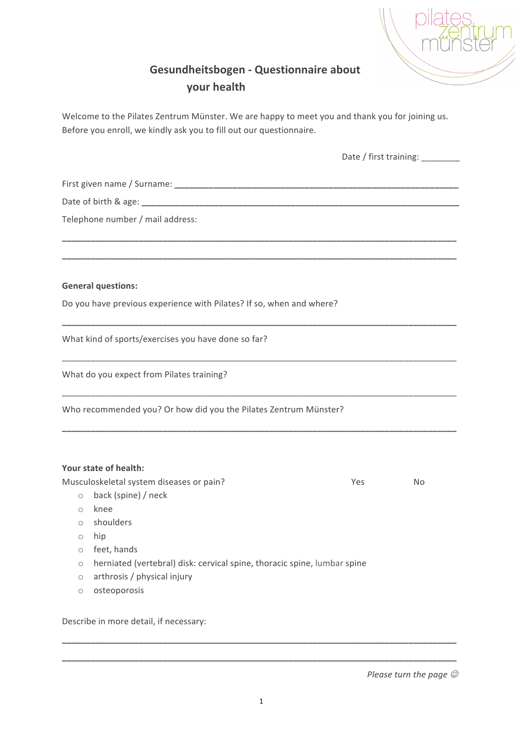

## **Gesundheitsbogen - Questionnaire about your health**

Welcome to the Pilates Zentrum Münster. We are happy to meet you and thank you for joining us. Before you enroll, we kindly ask you to fill out our questionnaire.

|                                                                      | Date / first training: |           |  |
|----------------------------------------------------------------------|------------------------|-----------|--|
|                                                                      |                        |           |  |
|                                                                      |                        |           |  |
| Telephone number / mail address:                                     |                        |           |  |
|                                                                      |                        |           |  |
| <b>General questions:</b>                                            |                        |           |  |
| Do you have previous experience with Pilates? If so, when and where? |                        |           |  |
| What kind of sports/exercises you have done so far?                  |                        |           |  |
| What do you expect from Pilates training?                            |                        |           |  |
| Who recommended you? Or how did you the Pilates Zentrum Münster?     |                        |           |  |
| Your state of health:                                                |                        |           |  |
| Musculoskeletal system diseases or pain?                             | Yes                    | <b>No</b> |  |
| back (spine) / neck<br>$\circ$                                       |                        |           |  |
| knee<br>$\bigcirc$                                                   |                        |           |  |
| shoulders<br>$\circ$                                                 |                        |           |  |

- o hip
- o feet, hands
- o herniated (vertebral) disk: cervical spine, thoracic spine, lumbar spine
- o arthrosis / physical injury
- o osteoporosis

Describe in more detail, if necessary:

**\_\_\_\_\_\_\_\_\_\_\_\_\_\_\_\_\_\_\_\_\_\_\_\_\_\_\_\_\_\_\_\_\_\_\_\_\_\_\_\_\_\_\_\_\_\_\_\_\_\_\_\_\_\_\_\_\_\_\_\_\_\_\_\_\_\_\_\_\_\_\_\_\_\_\_\_\_\_\_\_\_\_**

**\_\_\_\_\_\_\_\_\_\_\_\_\_\_\_\_\_\_\_\_\_\_\_\_\_\_\_\_\_\_\_\_\_\_\_\_\_\_\_\_\_\_\_\_\_\_\_\_\_\_\_\_\_\_\_\_\_\_\_\_\_\_\_\_\_\_\_\_\_\_\_\_\_\_\_\_\_\_\_\_\_\_**